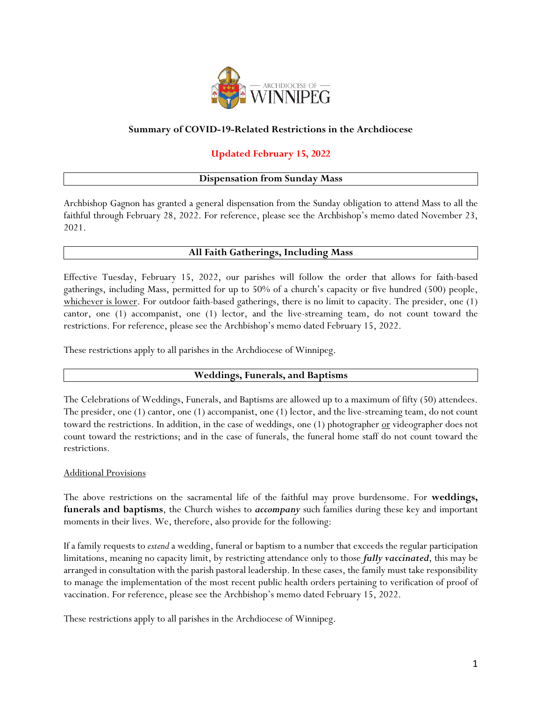

# **Summary of COVID-19-Related Restrictions in the Archdiocese**

# **Updated February 15, 2022**

### **Dispensation from Sunday Mass**

Archbishop Gagnon has granted a general dispensation from the Sunday obligation to attend Mass to all the faithful through February 28, 2022. For reference, please see the Archbishop's memo dated November 23, 2021.

### **All Faith Gatherings, Including Mass**

Effective Tuesday, February 15, 2022, our parishes will follow the order that allows for faith-based gatherings, including Mass, permitted for up to 50% of a church's capacity or five hundred (500) people, whichever is lower. For outdoor faith-based gatherings, there is no limit to capacity. The presider, one (1) cantor, one (1) accompanist, one (1) lector, and the live-streaming team, do not count toward the restrictions. For reference, please see the Archbishop's memo dated February 15, 2022.

These restrictions apply to all parishes in the Archdiocese of Winnipeg.

### **Weddings, Funerals, and Baptisms**

The Celebrations of Weddings, Funerals, and Baptisms are allowed up to a maximum of fifty (50) attendees. The presider, one (1) cantor, one (1) accompanist, one (1) lector, and the live-streaming team, do not count toward the restrictions. In addition, in the case of weddings, one (1) photographer <u>or</u> videographer does not count toward the restrictions; and in the case of funerals, the funeral home staff do not count toward the restrictions.

### Additional Provisions

The above restrictions on the sacramental life of the faithful may prove burdensome. For **weddings, funerals and baptisms**, the Church wishes to *accompany* such families during these key and important moments in their lives. We, therefore, also provide for the following:

If a family requests to *extend* a wedding, funeral or baptism to a number that exceeds the regular participation limitations, meaning no capacity limit, by restricting attendance only to those *fully vaccinated*, this may be arranged in consultation with the parish pastoral leadership. In these cases, the family must take responsibility to manage the implementation of the most recent public health orders pertaining to verification of proof of vaccination. For reference, please see the Archbishop's memo dated February 15, 2022.

These restrictions apply to all parishes in the Archdiocese of Winnipeg.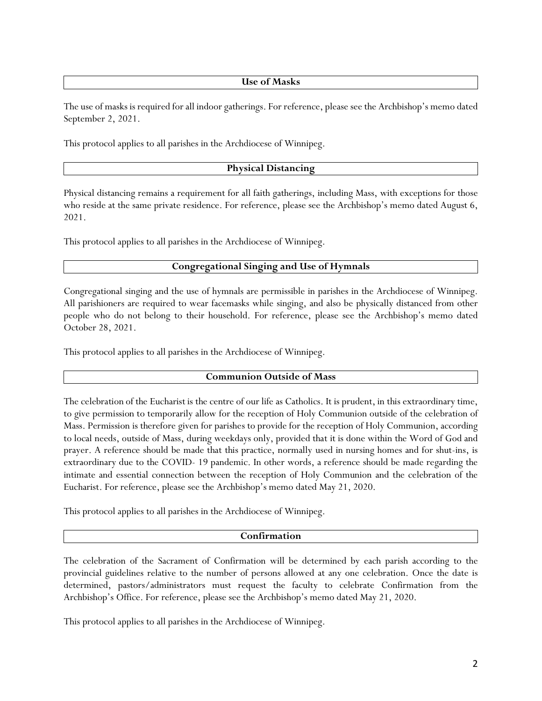#### **Use of Masks**

The use of masks is required for all indoor gatherings. For reference, please see the Archbishop's memo dated September 2, 2021.

This protocol applies to all parishes in the Archdiocese of Winnipeg.

### **Physical Distancing**

Physical distancing remains a requirement for all faith gatherings, including Mass, with exceptions for those who reside at the same private residence. For reference, please see the Archbishop's memo dated August 6, 2021.

This protocol applies to all parishes in the Archdiocese of Winnipeg.

### **Congregational Singing and Use of Hymnals**

Congregational singing and the use of hymnals are permissible in parishes in the Archdiocese of Winnipeg. All parishioners are required to wear facemasks while singing, and also be physically distanced from other people who do not belong to their household. For reference, please see the Archbishop's memo dated October 28, 2021.

This protocol applies to all parishes in the Archdiocese of Winnipeg.

#### **Communion Outside of Mass**

The celebration of the Eucharist is the centre of our life as Catholics. It is prudent, in this extraordinary time, to give permission to temporarily allow for the reception of Holy Communion outside of the celebration of Mass. Permission is therefore given for parishes to provide for the reception of Holy Communion, according to local needs, outside of Mass, during weekdays only, provided that it is done within the Word of God and prayer. A reference should be made that this practice, normally used in nursing homes and for shut-ins, is extraordinary due to the COVID- 19 pandemic. In other words, a reference should be made regarding the intimate and essential connection between the reception of Holy Communion and the celebration of the Eucharist. For reference, please see the Archbishop's memo dated May 21, 2020.

This protocol applies to all parishes in the Archdiocese of Winnipeg.

#### **Confirmation**

The celebration of the Sacrament of Confirmation will be determined by each parish according to the provincial guidelines relative to the number of persons allowed at any one celebration. Once the date is determined, pastors/administrators must request the faculty to celebrate Confirmation from the Archbishop's Office. For reference, please see the Archbishop's memo dated May 21, 2020.

This protocol applies to all parishes in the Archdiocese of Winnipeg.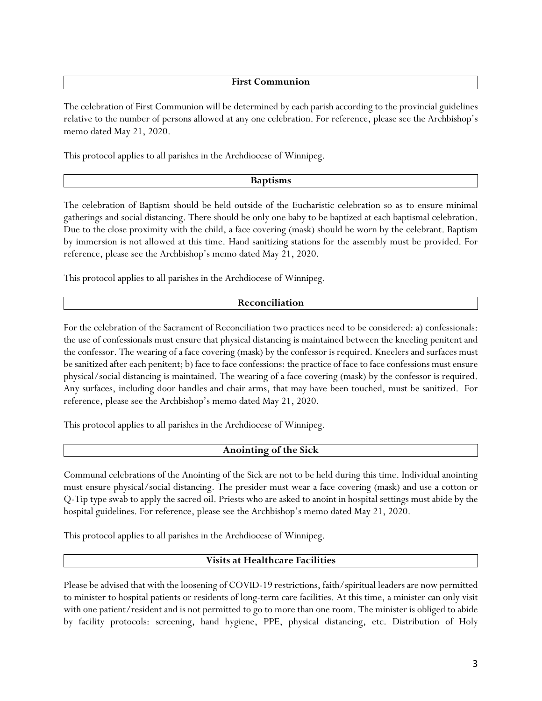### **First Communion**

The celebration of First Communion will be determined by each parish according to the provincial guidelines relative to the number of persons allowed at any one celebration. For reference, please see the Archbishop's memo dated May 21, 2020.

This protocol applies to all parishes in the Archdiocese of Winnipeg.

### **Baptisms**

The celebration of Baptism should be held outside of the Eucharistic celebration so as to ensure minimal gatherings and social distancing. There should be only one baby to be baptized at each baptismal celebration. Due to the close proximity with the child, a face covering (mask) should be worn by the celebrant. Baptism by immersion is not allowed at this time. Hand sanitizing stations for the assembly must be provided. For reference, please see the Archbishop's memo dated May 21, 2020.

This protocol applies to all parishes in the Archdiocese of Winnipeg.

#### **Reconciliation**

For the celebration of the Sacrament of Reconciliation two practices need to be considered: a) confessionals: the use of confessionals must ensure that physical distancing is maintained between the kneeling penitent and the confessor. The wearing of a face covering (mask) by the confessor is required. Kneelers and surfaces must be sanitized after each penitent; b) face to face confessions: the practice of face to face confessions must ensure physical/social distancing is maintained. The wearing of a face covering (mask) by the confessor is required. Any surfaces, including door handles and chair arms, that may have been touched, must be sanitized. For reference, please see the Archbishop's memo dated May 21, 2020.

This protocol applies to all parishes in the Archdiocese of Winnipeg.

### **Anointing of the Sick**

Communal celebrations of the Anointing of the Sick are not to be held during this time. Individual anointing must ensure physical/social distancing. The presider must wear a face covering (mask) and use a cotton or Q-Tip type swab to apply the sacred oil. Priests who are asked to anoint in hospital settings must abide by the hospital guidelines. For reference, please see the Archbishop's memo dated May 21, 2020.

This protocol applies to all parishes in the Archdiocese of Winnipeg.

### **Visits at Healthcare Facilities**

Please be advised that with the loosening of COVID-19 restrictions, faith/spiritual leaders are now permitted to minister to hospital patients or residents of long-term care facilities. At this time, a minister can only visit with one patient/resident and is not permitted to go to more than one room. The minister is obliged to abide by facility protocols: screening, hand hygiene, PPE, physical distancing, etc. Distribution of Holy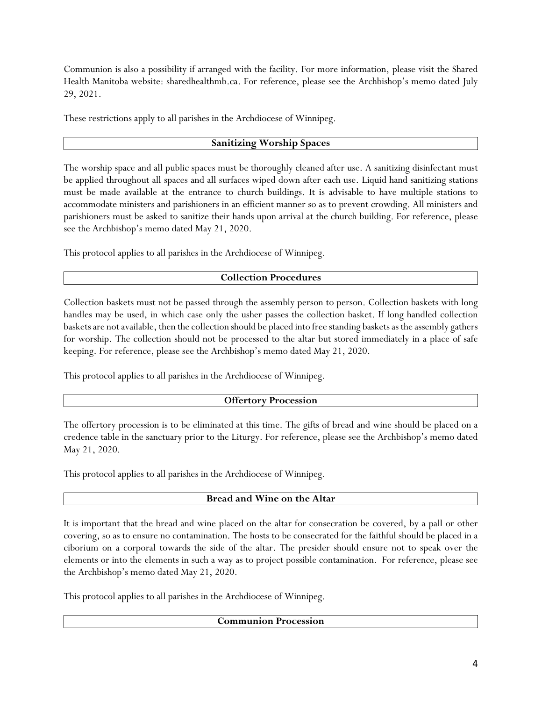Communion is also a possibility if arranged with the facility. For more information, please visit the Shared Health Manitoba website: sharedhealthmb.ca. For reference, please see the Archbishop's memo dated July 29, 2021.

These restrictions apply to all parishes in the Archdiocese of Winnipeg.

# **Sanitizing Worship Spaces**

The worship space and all public spaces must be thoroughly cleaned after use. A sanitizing disinfectant must be applied throughout all spaces and all surfaces wiped down after each use. Liquid hand sanitizing stations must be made available at the entrance to church buildings. It is advisable to have multiple stations to accommodate ministers and parishioners in an efficient manner so as to prevent crowding. All ministers and parishioners must be asked to sanitize their hands upon arrival at the church building. For reference, please see the Archbishop's memo dated May 21, 2020.

This protocol applies to all parishes in the Archdiocese of Winnipeg.

# **Collection Procedures**

Collection baskets must not be passed through the assembly person to person. Collection baskets with long handles may be used, in which case only the usher passes the collection basket. If long handled collection baskets are not available, then the collection should be placed into free standing baskets as the assembly gathers for worship. The collection should not be processed to the altar but stored immediately in a place of safe keeping. For reference, please see the Archbishop's memo dated May 21, 2020.

This protocol applies to all parishes in the Archdiocese of Winnipeg.

# **Offertory Procession**

The offertory procession is to be eliminated at this time. The gifts of bread and wine should be placed on a credence table in the sanctuary prior to the Liturgy. For reference, please see the Archbishop's memo dated May 21, 2020.

This protocol applies to all parishes in the Archdiocese of Winnipeg.

### **Bread and Wine on the Altar**

It is important that the bread and wine placed on the altar for consecration be covered, by a pall or other covering, so as to ensure no contamination. The hosts to be consecrated for the faithful should be placed in a ciborium on a corporal towards the side of the altar. The presider should ensure not to speak over the elements or into the elements in such a way as to project possible contamination. For reference, please see the Archbishop's memo dated May 21, 2020.

This protocol applies to all parishes in the Archdiocese of Winnipeg.

### **Communion Procession**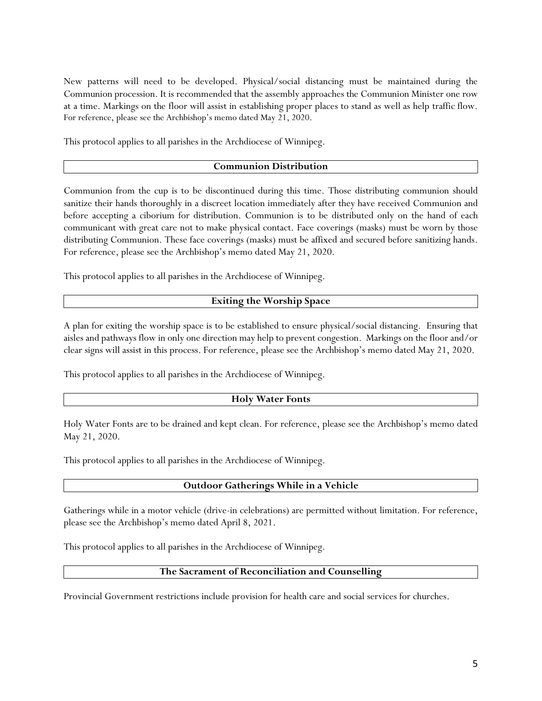New patterns will need to be developed. Physical/social distancing must be maintained during the Communion procession. It is recommended that the assembly approaches the Communion Minister one row at a time. Markings on the floor will assist in establishing proper places to stand as well as help traffic flow. For reference, please see the Archbishop's memo dated May 21, 2020.

This protocol applies to all parishes in the Archdiocese of Winnipeg.

### **Communion Distribution**

Communion from the cup is to be discontinued during this time. Those distributing communion should sanitize their hands thoroughly in a discreet location immediately after they have received Communion and before accepting a ciborium for distribution. Communion is to be distributed only on the hand of each communicant with great care not to make physical contact. Face coverings (masks) must be worn by those distributing Communion. These face coverings (masks) must be affixed and secured before sanitizing hands. For reference, please see the Archbishop's memo dated May 21, 2020.

This protocol applies to all parishes in the Archdiocese of Winnipeg.

# **Exiting the Worship Space**

A plan for exiting the worship space is to be established to ensure physical/social distancing. Ensuring that aisles and pathways flow in only one direction may help to prevent congestion. Markings on the floor and/or clear signs will assist in this process. For reference, please see the Archbishop's memo dated May 21, 2020.

This protocol applies to all parishes in the Archdiocese of Winnipeg.

# **Holy Water Fonts**

Holy Water Fonts are to be drained and kept clean. For reference, please see the Archbishop's memo dated May 21, 2020.

This protocol applies to all parishes in the Archdiocese of Winnipeg.

### **Outdoor Gatherings While in a Vehicle**

Gatherings while in a motor vehicle (drive-in celebrations) are permitted without limitation. For reference, please see the Archbishop's memo dated April 8, 2021.

This protocol applies to all parishes in the Archdiocese of Winnipeg.

### **The Sacrament of Reconciliation and Counselling**

Provincial Government restrictions include provision for health care and social services for churches.